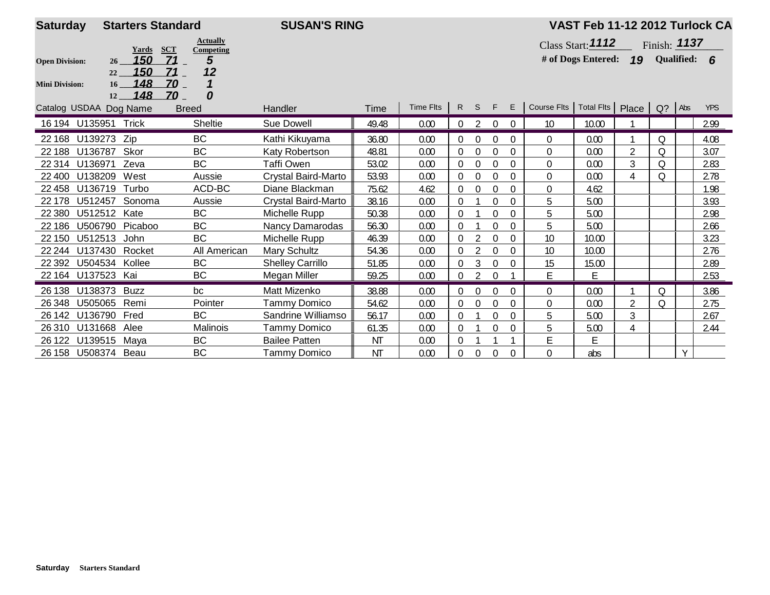| <b>Saturday</b>        | <b>SUSAN'S RING</b><br><b>Starters Standard</b> |                                            |                         |           |           |          |                |                |          |                                             | VAST Feb 11-12 2012 Turlock CA |                |                |   |            |
|------------------------|-------------------------------------------------|--------------------------------------------|-------------------------|-----------|-----------|----------|----------------|----------------|----------|---------------------------------------------|--------------------------------|----------------|----------------|---|------------|
|                        | Yards                                           | <b>Actually</b><br><b>SCT</b><br>Competing |                         |           |           |          |                |                |          |                                             | Class Start: <b>1112</b>       |                | Finish: $1137$ |   |            |
| <b>Open Division:</b>  | 150<br>26<br>150<br>22                          | 5<br>71<br>12<br>71                        |                         |           |           |          |                |                |          |                                             | # of Dogs Entered: 19          |                | Qualified: 6   |   |            |
| <b>Mini Division:</b>  | 148<br>16 <sup>1</sup><br>148<br>12             | ZO<br>0<br>70                              |                         |           |           |          |                |                |          |                                             |                                |                |                |   |            |
| Catalog USDAA Dog Name |                                                 | <b>Breed</b>                               | Handler                 | Time      | Time Flts | R S      |                | F              | E.       | Course Flts   Total Flts   Place   Q?   Abs |                                |                |                |   | <b>YPS</b> |
| 16 194 U135951 Trick   |                                                 | Sheltie                                    | Sue Dowell              | 49.48     | 0.00      | 0        |                | $\Omega$       | $\Omega$ | 10                                          | 10.00                          |                |                |   | 2.99       |
| U139273<br>22 168      | Zip                                             | <b>BC</b>                                  | Kathi Kikuyama          | 36.80     | 0.00      | $\Omega$ | $\mathbf 0$    | 0              | $\Omega$ | $\Omega$                                    | 0.00                           |                | Q              |   | 4.08       |
| U136787<br>22 188      | Skor                                            | <b>BC</b>                                  | Katy Robertson          | 48.81     | 0.00      |          | $\Omega$       | $\Omega$       | 0        | $\Omega$                                    | 0.00                           | $\overline{2}$ | Q              |   | 3.07       |
| U136971<br>22 3 14     | Zeva                                            | <b>BC</b>                                  | Taffi Owen              | 53.02     | 0.00      | $\Omega$ | $\theta$       | $\mathbf 0$    | $\Omega$ | 0                                           | 0.00                           | 3              | $\Omega$       |   | 2.83       |
| 22 400<br>U138209      | West                                            | Aussie                                     | Crystal Baird-Marto     | 53.93     | 0.00      | 0        | $\mathbf 0$    | $\Omega$       | $\Omega$ | $\mathbf 0$                                 | 0.00                           | $\overline{4}$ | Q              |   | 2.78       |
| U136719<br>22 4 58     | Turbo                                           | ACD-BC                                     | Diane Blackman          | 75.62     | 4.62      | 0        | $\theta$       | $\Omega$       | $\Omega$ | $\Omega$                                    | 4.62                           |                |                |   | 1.98       |
| 22 178                 | U512457<br>Sonoma                               | Aussie                                     | Crystal Baird-Marto     | 38.16     | 0.00      | $\Omega$ |                | $\Omega$       | $\theta$ | 5                                           | 5.00                           |                |                |   | 3.93       |
| 22 3 80                | U512512<br>Kate                                 | <b>BC</b>                                  | Michelle Rupp           | 50.38     | 0.00      | 0        |                | $\overline{0}$ | $\Omega$ | 5                                           | 5.00                           |                |                |   | 2.98       |
| 22 186                 | U506790 Picaboo                                 | <b>BC</b>                                  | Nancy Damarodas         | 56.30     | 0.00      | $\Omega$ |                | 0              | $\Omega$ | 5                                           | 5.00                           |                |                |   | 2.66       |
| 22 150                 | U512513<br>John                                 | <b>BC</b>                                  | Michelle Rupp           | 46.39     | 0.00      | $\Omega$ |                | $\Omega$       | $\Omega$ | 10                                          | 10.00                          |                |                |   | 3.23       |
| U137430<br>22 244      | Rocket                                          | All American                               | Mary Schultz            | 54.36     | 0.00      | $\Omega$ | 2              | $\mathbf 0$    | $\theta$ | 10                                          | 10.00                          |                |                |   | 2.76       |
| 22 3 9 2               | U504534 Kollee                                  | <b>BC</b>                                  | <b>Shelley Carrillo</b> | 51.85     | 0.00      | 0        | 3              | $\mathbf 0$    | $\theta$ | 15                                          | 15.00                          |                |                |   | 2.89       |
| 22 164 U137523 Kai     |                                                 | <b>BC</b>                                  | Megan Miller            | 59.25     | 0.00      | 0        | $\overline{2}$ | $\Omega$       |          | E                                           | E                              |                |                |   | 2.53       |
| 26 138                 | U138373<br><b>Buzz</b>                          | bc                                         | Matt Mizenko            | 38.88     | 0.00      | 0        | $\mathbf 0$    | $\overline{0}$ | $\Omega$ | 0                                           | 0.00                           |                | $\circ$        |   | 3.86       |
| U505065<br>26 348      | Remi                                            | Pointer                                    | Tammy Domico            | 54.62     | 0.00      | 0        | $\Omega$       | $\Omega$       | $\Omega$ | $\Omega$                                    | 0.00                           | $\overline{2}$ | $\circ$        |   | 2.75       |
| 26 142                 | U136790<br>Fred                                 | <b>BC</b>                                  | Sandrine Williamso      | 56.17     | 0.00      | $\Omega$ |                | $\Omega$       | $\Omega$ | 5                                           | 5.00                           | $\sqrt{3}$     |                |   | 2.67       |
| 26310                  | U131668<br>Alee                                 | Malinois                                   | Tammy Domico            | 61.35     | 0.00      | 0        |                | 0              | 0        | 5                                           | 5.00                           | $\overline{4}$ |                |   | 2.44       |
| U139515<br>26 122      | Mava                                            | <b>BC</b>                                  | <b>Bailee Patten</b>    | <b>NT</b> | 0.00      | $\Omega$ |                |                |          | E                                           | E                              |                |                |   |            |
| 26 158 U508374 Beau    |                                                 | BC                                         | Tammy Domico            | <b>NT</b> | 0.00      | 0        | $\theta$       | $\Omega$       | $\Omega$ | 0                                           | abs                            |                |                | Y |            |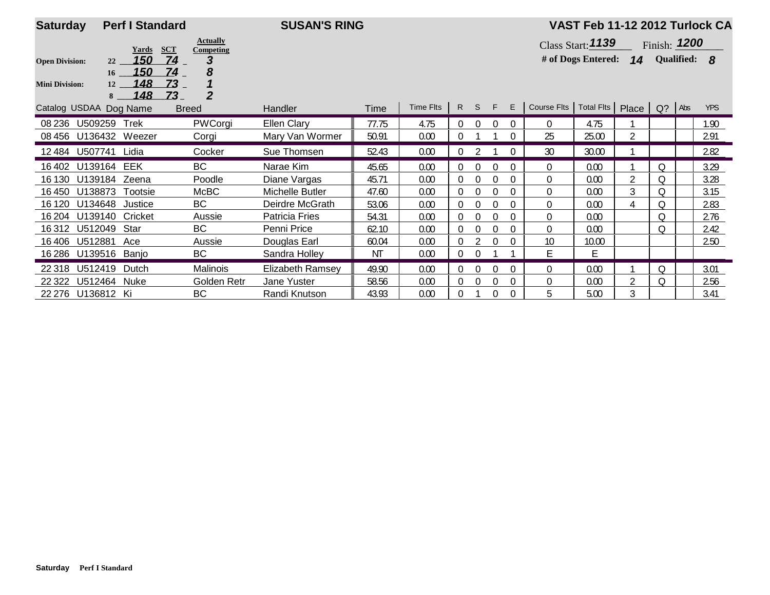| <b>Saturday</b>        |                 | <b>Perf I Standard</b> |                                            | <b>SUSAN'S RING</b>     |       |           |                |          |          |          |                                             | VAST Feb 11-12 2012 Turlock CA                   |   |                |            |
|------------------------|-----------------|------------------------|--------------------------------------------|-------------------------|-------|-----------|----------------|----------|----------|----------|---------------------------------------------|--------------------------------------------------|---|----------------|------------|
|                        |                 | Yards                  | <b>Actually</b><br><b>SCT</b><br>Competing |                         |       |           |                |          |          |          |                                             | Class Start: $1139$                              |   | Finish: $1200$ |            |
| <b>Open Division:</b>  | 22              | 150                    | 74<br>3                                    |                         |       |           |                |          |          |          |                                             | # of Dogs Entered: <b>14</b> Qualified: <b>8</b> |   |                |            |
|                        | 16 <sup>1</sup> | 150<br>148             | 74<br>8<br>73                              |                         |       |           |                |          |          |          |                                             |                                                  |   |                |            |
| <b>Mini Division:</b>  | 12<br>8         | 148                    | $\overline{2}$<br>Z3                       |                         |       |           |                |          |          |          |                                             |                                                  |   |                |            |
| Catalog USDAA Dog Name |                 |                        | <b>Breed</b>                               | <b>Handler</b>          | Time  | Time Flts |                | R S F    |          | E        | Course Fits   Total Fits   Place   Q?   Abs |                                                  |   |                | <b>YPS</b> |
| 08 236                 | U509259         | Trek                   | PWCorgi                                    | <b>Ellen Clary</b>      | 77.75 | 4.75      | $\overline{0}$ | $\Omega$ | $\Omega$ | $\Omega$ | $\Omega$                                    | 4.75                                             |   |                | 1.90       |
| 08 456 U136432 Weezer  |                 |                        | Corgi                                      | Mary Van Wormer         | 50.91 | 0.00      |                |          |          | $\Omega$ | 25                                          | 25.00                                            |   |                | 2.91       |
| 12 484 U507741         |                 | Lidia                  | Cocker                                     | Sue Thomsen             | 52.43 | 0.00      |                |          |          | $\Omega$ | 30                                          | 30.00                                            |   |                | 2.82       |
| 16 402                 | U139164         | EEK                    | BC                                         | Narae Kim               | 45.65 | 0.00      | 0              | $\Omega$ |          | $\Omega$ | $\Omega$                                    | 0.00                                             |   | Q              | 3.29       |
| 16 130                 | U139184 Zeena   |                        | Poodle                                     | Diane Vargas            | 45.71 | 0.00      | 0              | $\Omega$ | $\Omega$ | $\Omega$ | $\Omega$                                    | 0.00                                             | 2 | Q              | 3.28       |
| 16 450                 | U138873         | Tootsie                | McBC                                       | <b>Michelle Butler</b>  | 47.60 | 0.00      | 0              | $\Omega$ | $\Omega$ | $\Omega$ | 0                                           | 0.00                                             | 3 | Q              | 3.15       |
| 16 120                 | U134648         | Justice                | BC                                         | Deirdre McGrath         | 53.06 | 0.00      | 0              | 0        |          | $\Omega$ | $\Omega$                                    | 0.00                                             | 4 | Q              | 2.83       |
| 16 204                 | U139140         | Cricket                | Aussie                                     | Patricia Fries          | 54.31 | 0.00      | 0              | 0        |          | $\theta$ | $\theta$                                    | 0.00                                             |   | Q              | 2.76       |
| 16312                  | U512049         | Star                   | <b>BC</b>                                  | Penni Price             | 62.10 | 0.00      | $\Omega$       | $\Omega$ | $\Omega$ | $\Omega$ | $\Omega$                                    | 0.00                                             |   | 0              | 2.42       |
| 16406                  | U512881         | Ace                    | Aussie                                     | Douglas Earl            | 60.04 | 0.00      | 0              |          |          | $\Omega$ | 10                                          | 10.00                                            |   |                | 2.50       |
| 16 286                 | U139516 Banjo   |                        | BC                                         | Sandra Holley           | NT    | 0.00      |                | $\Omega$ |          |          | E                                           | Е                                                |   |                |            |
| 22 318                 | U512419         | Dutch                  | Malinois                                   | <b>Elizabeth Ramsey</b> | 49.90 | 0.00      | $\Omega$       | 0        |          | $\Omega$ | $\Omega$                                    | 0.00                                             |   | Q              | 3.01       |
| 22 3 22                | U512464         | Nuke                   | Golden Retr                                | Jane Yuster             | 58.56 | 0.00      | $\mathbf 0$    | $\Omega$ | $\Omega$ | $\Omega$ | 0                                           | 0.00                                             | 2 | Q              | 2.56       |
| 22 276 U136812 Ki      |                 |                        | BC                                         | Randi Knutson           | 43.93 | 0.00      |                |          | $\theta$ | $\Omega$ | 5                                           | 5.00                                             | 3 |                | 3.41       |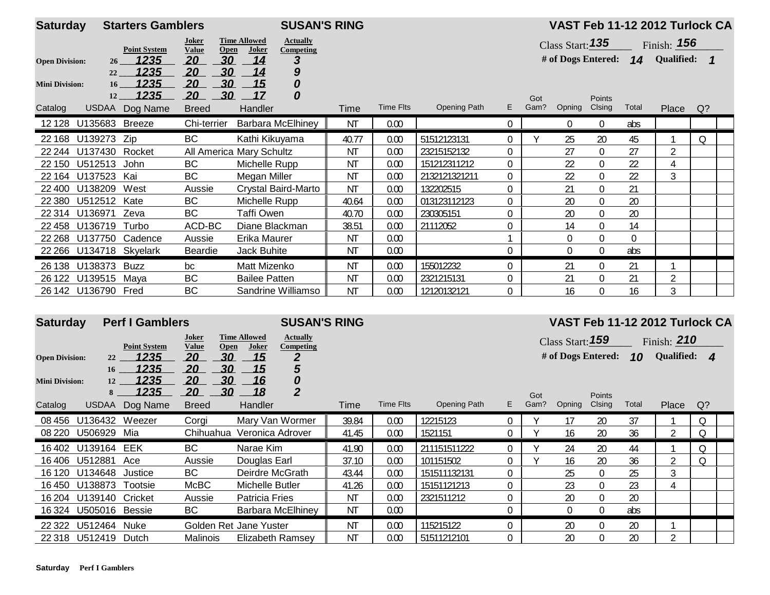| <b>Saturday</b>       |                         | <b>Starters Gamblers</b> |                          |                                    |                      | <b>SUSAN'S RING</b>          |           |           |               |                |             |        |                  |          | VAST Feb 11-12 2012 Turlock CA             |    |  |
|-----------------------|-------------------------|--------------------------|--------------------------|------------------------------------|----------------------|------------------------------|-----------|-----------|---------------|----------------|-------------|--------|------------------|----------|--------------------------------------------|----|--|
|                       |                         | <b>Point System</b>      | Joker<br><b>Value</b>    | <b>Time Allowed</b><br><b>Open</b> | Joker                | <b>Actually</b><br>Competing |           |           |               |                |             |        |                  |          | Class Start: <b>135</b> Finish: <b>156</b> |    |  |
| <b>Open Division:</b> | 26                      | <u> 1235 </u>            | 20                       | 30                                 | 14                   | З                            |           |           |               |                |             |        |                  |          | # of Dogs Entered: 14 Qualified: 1         |    |  |
|                       | 22                      | 1235                     | 20                       | 30                                 | 14                   | 9                            |           |           |               |                |             |        |                  |          |                                            |    |  |
| <b>Mini Division:</b> | 16<br>12                | 1235<br>1235             | 20<br>20                 | 30<br>30                           | 15<br>17             | 0<br>0                       |           |           |               |                |             |        |                  |          |                                            |    |  |
| Catalog               |                         | USDAA Dog Name           | <b>Breed</b>             |                                    | <b>Handler</b>       |                              | Time      | Time Flts | Opening Path  | E.             | Got<br>Gam? | Opning | Points<br>Clsing | Total    | Place                                      | Q? |  |
|                       | 12 128 U135683 Breeze   |                          | Chi-terrier              |                                    |                      | <b>Barbara McElhiney</b>     | <b>NT</b> | 0.00      |               | $\mathbf 0$    |             | 0      | $\overline{0}$   | abs      |                                            |    |  |
|                       | 22 168 U139273 Zip      |                          | BC                       |                                    |                      | Kathi Kikuyama               | 40.77     | 0.00      | 51512123131   | $\Omega$       |             | 25     | 20               | 45       |                                            | 0  |  |
|                       | 22 244 U137430 Rocket   |                          | All America Mary Schultz |                                    |                      |                              | <b>NT</b> | 0.00      | 23215152132   | 0              |             | 27     | $\overline{0}$   | 27       | $\overline{2}$                             |    |  |
|                       | 22 150 U512513 John     |                          | BC                       |                                    | Michelle Rupp        |                              | <b>NT</b> | 0.00      | 151212311212  | $\overline{0}$ |             | 22     | $\overline{0}$   | 22       | 4                                          |    |  |
|                       | 22 164 U137523 Kai      |                          | <b>BC</b>                |                                    | Megan Miller         |                              | <b>NT</b> | 0.00      | 2132121321211 | $\mathbf 0$    |             | 22     | $\boldsymbol{0}$ | 22       | 3                                          |    |  |
|                       | 22 400 U138209 West     |                          | Aussie                   |                                    |                      | Crystal Baird-Marto          | <b>NT</b> | 0.00      | 132202515     | $\mathbf 0$    |             | 21     | 0                | 21       |                                            |    |  |
| 22 3 8 0              | U512512 Kate            |                          | BC                       |                                    | Michelle Rupp        |                              | 40.64     | 0.00      | 013123112123  | 0              |             | 20     | $\boldsymbol{0}$ | 20       |                                            |    |  |
|                       | 22 314 U136971          | Zeva                     | BC                       |                                    | Taffi Owen           |                              | 40.70     | 0.00      | 230305151     | $\Omega$       |             | 20     | $\overline{0}$   | 20       |                                            |    |  |
| 22 458                | U136719 Turbo           |                          | ACD-BC                   |                                    |                      | Diane Blackman               | 38.51     | 0.00      | 21112052      | $\mathbf 0$    |             | 14     | $\boldsymbol{0}$ | 14       |                                            |    |  |
|                       | 22 268 U137750 Cadence  |                          | Aussie                   |                                    | Erika Maurer         |                              | <b>NT</b> | 0.00      |               |                |             | 0      | 0                | $\Omega$ |                                            |    |  |
|                       | 22 266 U134718 Skyelark |                          | Beardie                  |                                    | Jack Buhite          |                              | <b>NT</b> | 0.00      |               | 0              |             | 0      | $\overline{0}$   | abs      |                                            |    |  |
|                       | 26 138 U138373 Buzz     |                          | bc                       |                                    | Matt Mizenko         |                              | ΝT        | 0.00      | 155012232     | $\Omega$       |             | 21     | $\Omega$         | 21       |                                            |    |  |
|                       | 26 122 U139515 Maya     |                          | <b>BC</b>                |                                    | <b>Bailee Patten</b> |                              | <b>NT</b> | 0.00      | 2321215131    | 0              |             | 21     | $\boldsymbol{0}$ | 21       | $\overline{2}$                             |    |  |
|                       | 26 142 U136790 Fred     |                          | <b>BC</b>                |                                    |                      | Sandrine Williamso           | <b>NT</b> | 0.00      | 12120132121   | 0              |             | 16     | 0                | 16       | 3                                          |    |  |

| <b>Saturday</b>                                           |                       | <b>Perf I Gamblers</b>                                                |                                                                                        | <b>SUSAN'S RING</b>                                                                                                                            |           |           |              |                |             |                                                  |                  |             | VAST Feb 11-12 2012 Turlock CA         |       |  |
|-----------------------------------------------------------|-----------------------|-----------------------------------------------------------------------|----------------------------------------------------------------------------------------|------------------------------------------------------------------------------------------------------------------------------------------------|-----------|-----------|--------------|----------------|-------------|--------------------------------------------------|------------------|-------------|----------------------------------------|-------|--|
| <b>Open Division:</b><br><b>Mini Division:</b><br>Catalog | 22<br>16<br>12<br>8   | <b>Point System</b><br>1235<br>1235<br>1235<br>1235<br>USDAA Dog Name | Joker<br>Open<br>Value<br>30<br>20<br>30<br>20<br>30<br>20<br>30<br>20<br><b>Breed</b> | <b>Time Allowed</b><br><b>Actually</b><br>Joker<br><b>Competing</b><br>2<br>15<br>5<br>15<br>0<br>16<br>$\overline{2}$<br>18<br><b>Handler</b> | Time      | Time Flts | Opening Path | E.             | Got<br>Gam? | Class Start: 159<br># of Dogs Entered:<br>Opning | Points<br>Clsing | 10<br>Total | Finish: $210$<br>Qualified: 4<br>Place | $Q$ ? |  |
| 08 456                                                    | U136432               | Weezer                                                                | Corgi                                                                                  | Mary Van Wormer                                                                                                                                | 39.84     | 0.00      | 12215123     | $\mathbf 0$    |             | 17                                               | 20               | 37          |                                        | Q     |  |
|                                                           | 08 220 U506929 Mia    |                                                                       |                                                                                        | Chihuahua Veronica Adrover                                                                                                                     | 41.45     | 0.00      | 1521151      | 0              |             | 16                                               | 20               | 36          | $\overline{2}$                         | Q     |  |
|                                                           |                       |                                                                       |                                                                                        |                                                                                                                                                |           |           |              |                |             |                                                  |                  |             |                                        |       |  |
|                                                           | 16402 U139164         | EEK                                                                   | <b>BC</b>                                                                              | Narae Kim                                                                                                                                      | 41.90     | 0.00      | 211151511222 | $\overline{0}$ |             | 24                                               | 20               | 44          |                                        | Q     |  |
|                                                           | 16406 U512881         | Ace                                                                   | Aussie                                                                                 | Douglas Earl                                                                                                                                   | 37.10     | 0.00      | 101151502    | 0              |             | 16                                               | 20               | 36          | $\overline{2}$                         | 0     |  |
| 16 120                                                    | U134648               | Justice                                                               | <b>BC</b>                                                                              | Deirdre McGrath                                                                                                                                | 43.44     | 0.00      | 151511132131 | 0              |             | 25                                               | $\overline{0}$   | 25          | 3                                      |       |  |
| 16 450                                                    | U138873               | Tootsie                                                               | McBC                                                                                   | Michelle Butler                                                                                                                                | 41.26     | 0.00      | 15151121213  | $\Omega$       |             | 23                                               | $\boldsymbol{0}$ | 23          | 4                                      |       |  |
| 16 204                                                    | U139140 Cricket       |                                                                       | Aussie                                                                                 | <b>Patricia Fries</b>                                                                                                                          | <b>NT</b> | 0.00      | 2321511212   | $\theta$       |             | 20                                               | $\Omega$         | 20          |                                        |       |  |
|                                                           | 16 324 U505016 Bessie |                                                                       | BC                                                                                     | Barbara McElhiney                                                                                                                              | <b>NT</b> | 0.00      |              | $\theta$       |             | 0                                                | $\Omega$         | abs         |                                        |       |  |
| 22 3 22                                                   | U512464               | Nuke                                                                  |                                                                                        | Golden Ret Jane Yuster                                                                                                                         | <b>NT</b> | 0.00      | 115215122    | $\Omega$       |             | 20                                               | $\overline{0}$   | 20          |                                        |       |  |
|                                                           | 22 318 U512419        | Dutch                                                                 | Malinois                                                                               | <b>Elizabeth Ramsey</b>                                                                                                                        | <b>NT</b> | 0.00      | 51511212101  | $\mathbf 0$    |             | 20                                               | $\boldsymbol{0}$ | 20          | າ                                      |       |  |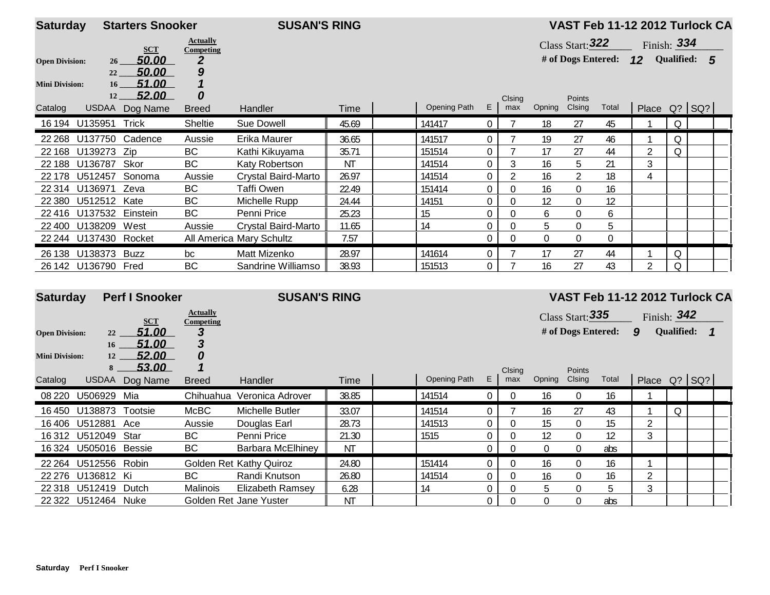| <b>Saturday</b>       |                     | <b>Starters Snooker</b> |                              | <b>SUSAN'S RING</b>      |       |              |                |               |          |                         |          | VAST Feb 11-12 2012 Turlock CA |          |              |  |
|-----------------------|---------------------|-------------------------|------------------------------|--------------------------|-------|--------------|----------------|---------------|----------|-------------------------|----------|--------------------------------|----------|--------------|--|
|                       |                     | <b>SCT</b>              | <b>Actually</b><br>Competing |                          |       |              |                |               |          | Class Start: 322        |          | Finish: $334$                  |          |              |  |
| <b>Open Division:</b> | 26                  | 50.00                   | 2                            |                          |       |              |                |               |          | # of Dogs Entered: $12$ |          |                                |          | Qualified: 5 |  |
|                       | 22                  | 50.00                   | 9                            |                          |       |              |                |               |          |                         |          |                                |          |              |  |
| <b>Mini Division:</b> | 16                  | 51.00                   |                              |                          |       |              |                |               |          |                         |          |                                |          |              |  |
| Catalog               | 12<br><b>USDAA</b>  | 52.00<br>Dog Name       | 0<br><b>Breed</b>            | Handler                  | Time  | Opening Path | E              | Clsing<br>max | Opning   | Points<br>Clsing        | Total    | Place Q? SQ?                   |          |              |  |
|                       |                     |                         |                              |                          |       |              |                |               |          |                         |          |                                |          |              |  |
|                       | 16 194 U135951      | Trick                   | Sheltie                      | Sue Dowell               | 45.69 | 141417       | $\mathbf{0}$   |               | 18       | 27                      | 45       |                                | Q        |              |  |
| 22 2 68               | U137750             | Cadence                 | Aussie                       | Erika Maurer             | 36.65 | 141517       | 0              |               | 19       | 27                      | 46       |                                | Q        |              |  |
| 22 168                | U139273 Zip         |                         | <b>BC</b>                    | Kathi Kikuyama           | 35.71 | 151514       | $\Omega$       |               | 17       | 27                      | 44       |                                |          |              |  |
| 22 188                | U136787             | Skor                    | <b>BC</b>                    | Katy Robertson           | ΝT    | 141514       | $\overline{0}$ | 3             | 16       | 5                       | 21       | 3                              |          |              |  |
| 22 178                | U512457             | Sonoma                  | Aussie                       | Crystal Baird-Marto      | 26.97 | 141514       | $\overline{0}$ | 2             | 16       | 2                       | 18       | 4                              |          |              |  |
| 22 3 14               | U136971             | Zeva                    | <b>BC</b>                    | Taffi Owen               | 22.49 | 151414       | 0              | $\mathbf{0}$  | 16       | $\overline{0}$          | 16       |                                |          |              |  |
| 22 3 8 0              | U512512 Kate        |                         | BС                           | Michelle Rupp            | 24.44 | 14151        | 0              | 0             | 12       | 0                       | 12       |                                |          |              |  |
| 22 4 16               | U137532             | Einstein                | <b>BC</b>                    | Penni Price              | 25.23 | 15           | 0              | 0             | 6        | 0                       | 6        |                                |          |              |  |
| 22 400                | U138209             | West                    | Aussie                       | Crystal Baird-Marto      | 11.65 | 14           | $\theta$       | 0             | 5        | 0                       | 5        |                                |          |              |  |
| 22 244                | U137430             | Rocket                  |                              | All America Mary Schultz | 7.57  |              | 0              | $\theta$      | $\Omega$ | 0                       | $\theta$ |                                |          |              |  |
| 26 138                | U138373 Buzz        |                         | bc                           | Matt Mizenko             | 28.97 | 141614       | $\theta$       |               | 17       | 27                      | 44       |                                | $\Omega$ |              |  |
|                       | 26 142 U136790 Fred |                         | <b>BC</b>                    | Sandrine Williamso       | 38.93 | 151513       | $\overline{0}$ |               | 16       | 27                      | 43       | 2                              |          |              |  |

| <b>Saturday</b>       |                | <b>Perf I Snooker</b> |                                     | <b>SUSAN'S RING</b>     |           |              |              |          |          |                    |       | VAST Feb 11-12 2012 Turlock CA |                   |    |  |
|-----------------------|----------------|-----------------------|-------------------------------------|-------------------------|-----------|--------------|--------------|----------|----------|--------------------|-------|--------------------------------|-------------------|----|--|
|                       |                | <b>SCT</b>            | <b>Actually</b><br><b>Competing</b> |                         |           |              |              |          |          | Class Start: 335   |       | Finish: $342$                  |                   |    |  |
| <b>Open Division:</b> | 22             | 51.00                 | 3                                   |                         |           |              |              |          |          | # of Dogs Entered: |       | 9                              | <b>Qualified:</b> | -1 |  |
| <b>Mini Division:</b> | 16<br>12       | 51.00<br>52.00        | 3<br>0                              |                         |           |              |              |          |          |                    |       |                                |                   |    |  |
|                       | 8              | 53.00                 |                                     |                         |           |              |              | Clsing   |          | <b>Points</b>      |       |                                |                   |    |  |
| Catalog               | USDAA          | Dog Name              | <b>Breed</b>                        | <b>Handler</b>          | Time      | Opening Path | E.           | max      | Opning   | Clsing             | Total | Place Q? SQ?                   |                   |    |  |
| 08 220                | U506929        | Mia                   | Chihuahua                           | Veronica Adrover        | 38.85     | 141514       | $\mathbf{0}$ |          | 16       | $\overline{0}$     | 16    |                                |                   |    |  |
| 16 450                | U138873        | Tootsie               | McBC                                | Michelle Butler         | 33.07     | 141514       | $\Omega$     |          | 16       | 27                 | 43    |                                | Q                 |    |  |
| 16406                 | U512881        | Ace                   | Aussie                              | Douglas Earl            | 28.73     | 141513       | 0            | $\Omega$ | 15       | $\overline{0}$     | 15    |                                |                   |    |  |
| 16 312                | U512049        | Star                  | <b>BC</b>                           | Penni Price             | 21.30     | 1515         | 0            | $\Omega$ | 12       | $\overline{0}$     | 12    | $\mathcal{S}$                  |                   |    |  |
| 16 3 24               | U505016 Bessie |                       | BC                                  | Barbara McElhiney       | <b>NT</b> |              | 0            | 0        | $\Omega$ | $\overline{0}$     | abs   |                                |                   |    |  |
| 22 2 64               | U512556 Robin  |                       |                                     | Golden Ret Kathy Quiroz | 24.80     | 151414       | $\Omega$     | $\theta$ | 16       | $\overline{0}$     | 16    |                                |                   |    |  |
| 22 276                | U136812 Ki     |                       | BC                                  | Randi Knutson           | 26.80     | 141514       | 0            | $\theta$ | 16       | $\overline{0}$     | 16    |                                |                   |    |  |
| 22 318                | U512419        | Dutch                 | <b>Malinois</b>                     | Elizabeth Ramsey        | 6.28      | 14           | 0            | $\Omega$ | 5        | $\Omega$           | 5     | 3                              |                   |    |  |
| 22 3 22               | U512464        | Nuke                  |                                     | Golden Ret Jane Yuster  | <b>NT</b> |              | $\Omega$     | 0        | $\Omega$ | $\Omega$           | abs   |                                |                   |    |  |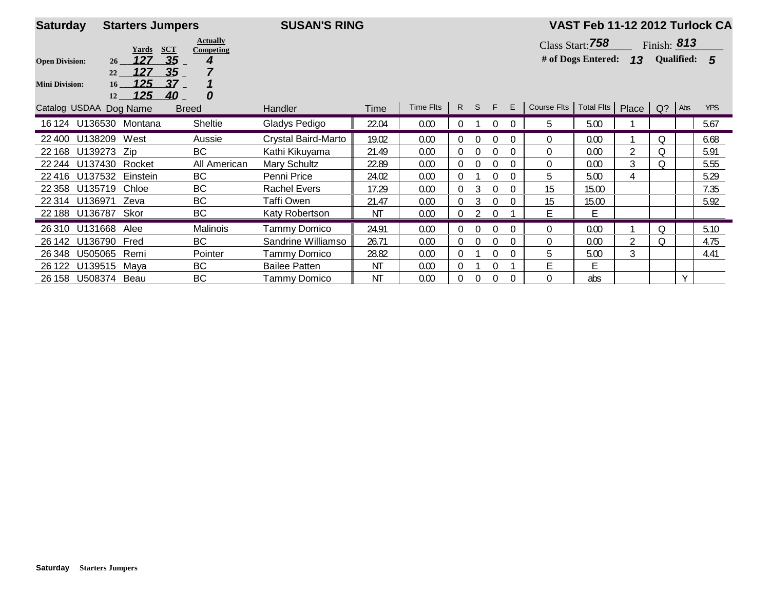| <b>Saturday</b>        | <b>Starters Jumpers</b>             |                              | <b>SUSAN'S RING</b>  |           |           |                |             |              |          |                                             | VAST Feb 11-12 2012 Turlock CA |   |               |              |            |
|------------------------|-------------------------------------|------------------------------|----------------------|-----------|-----------|----------------|-------------|--------------|----------|---------------------------------------------|--------------------------------|---|---------------|--------------|------------|
|                        | <b>SCT</b><br>Yards                 | <b>Actually</b><br>Competing |                      |           |           |                |             |              |          |                                             | Class Start: 758               |   | Finish: $813$ |              |            |
| <b>Open Division:</b>  | 127<br>26 <sup>2</sup>              | 35 <sub>5</sub><br>4         |                      |           |           |                |             |              |          |                                             | # of Dogs Entered: $13$        |   |               | Qualified: 5 |            |
| <b>Mini Division:</b>  | 127<br>22<br>125<br>16<br>125<br>12 | 35<br>37<br>40<br>0          |                      |           |           |                |             |              |          |                                             |                                |   |               |              |            |
| Catalog USDAA Dog Name |                                     | <b>Breed</b>                 | Handler              | Time      | Time Flts |                | R S F       |              | E        | Course Flts   Total Flts   Place   Q?   Abs |                                |   |               |              | <b>YPS</b> |
|                        | 16 124 U136530 Montana              | <b>Sheltie</b>               | Gladys Pedigo        | 22.04     | 0.00      | $\overline{0}$ |             | $\mathbf{0}$ | $\Omega$ | 5                                           | 5.00                           |   |               |              | 5.67       |
| 22 400                 | U138209<br>West                     | Aussie                       | Crystal Baird-Marto  | 19.02     | 0.00      | $\Omega$       | $\Omega$    | $\Omega$     | $\Omega$ | $\Omega$                                    | 0.00                           |   | 0             |              | 6.68       |
| 22 168                 | U139273 Zip                         | <b>BC</b>                    | Kathi Kikuyama       | 21.49     | 0.00      | $\Omega$       | $\theta$    | 0            | $\Omega$ | $\Omega$                                    | 0.00                           | 2 | Q             |              | 5.91       |
| 22 244                 | U137430<br>Rocket                   | All American                 | <b>Mary Schultz</b>  | 22.89     | 0.00      | $\Omega$       | $\theta$    | 0            | 0        | $\Omega$                                    | 0.00                           | 3 | 0             |              | 5.55       |
| 22 4 16                | U137532<br>Einstein                 | <b>BC</b>                    | Penni Price          | 24.02     | 0.00      | $\Omega$       |             | 0            | 0        | 5                                           | 5.00                           | 4 |               |              | 5.29       |
| 22 3 58                | Chloe<br>U135719                    | <b>BC</b>                    | <b>Rachel Evers</b>  | 17.29     | 0.00      | $\Omega$       | 3           | $\Omega$     | $\Omega$ | 15                                          | 15.00                          |   |               |              | 7.35       |
| 22 314                 | U136971<br>Zeva                     | BC                           | Taffi Owen           | 21.47     | 0.00      | $\Omega$       | 3           | 0            | $\Omega$ | 15                                          | 15.00                          |   |               |              | 5.92       |
| 22 188 U136787         | Skor                                | <b>BC</b>                    | Katy Robertson       | ΝT        | 0.00      | $\theta$       | 2           | $\Omega$     |          | E                                           | E                              |   |               |              |            |
| 26 310                 | U131668<br>Alee                     | Malinois                     | Tammy Domico         | 24.91     | 0.00      | $\mathbf{0}$   | $\theta$    | 0            | $\Omega$ | $\mathbf{0}$                                | 0.00                           |   | Q             |              | 5.10       |
| 26 142                 | U136790 Fred                        | BC                           | Sandrine Williamso   | 26.71     | 0.00      | $\theta$       | $\mathbf 0$ | $\theta$     | $\Omega$ | $\mathbf 0$                                 | 0.00                           | 2 | Q             |              | 4.75       |
| 26 348                 | U505065<br>Remi                     | Pointer                      | Tammy Domico         | 28.82     | 0.00      | $\Omega$       |             | 0            | 0        | 5                                           | 5.00                           | 3 |               |              | 4.41       |
| 26 122                 | U139515<br>Maya                     | BC                           | <b>Bailee Patten</b> | <b>NT</b> | 0.00      | $\Omega$       |             | 0            |          | E                                           | E                              |   |               |              |            |
| 26 158 U508374 Beau    |                                     | BC                           | <b>Tammy Domico</b>  | <b>NT</b> | 0.00      | 0              | $\theta$    | $\mathbf{0}$ | 0        | 0                                           | abs                            |   |               | Y            |            |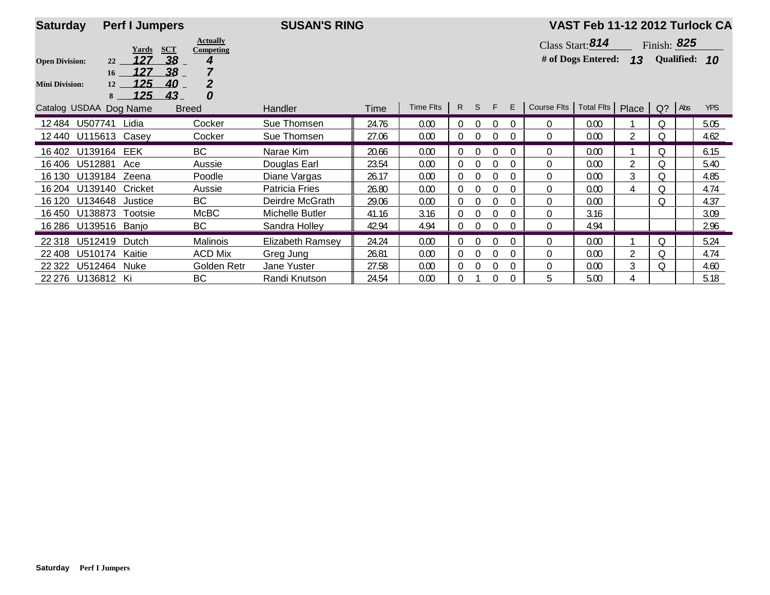| <b>Saturday</b>        | <b>Perf I Jumpers</b>                                    |                                                   | <b>SUSAN'S RING</b>     |       |           |                |          |             |          |                | VAST Feb 11-12 2012 Turlock CA |                |               |               |
|------------------------|----------------------------------------------------------|---------------------------------------------------|-------------------------|-------|-----------|----------------|----------|-------------|----------|----------------|--------------------------------|----------------|---------------|---------------|
|                        | Yards                                                    | <b>Actually</b><br><b>SCT</b><br><b>Competing</b> |                         |       |           |                |          |             |          |                | Class Start: 814               |                | Finish: $825$ |               |
| <b>Open Division:</b>  | 127<br>22                                                | 38<br>4                                           |                         |       |           |                |          |             |          |                | # of Dogs Entered:             | 13             |               | Qualified: 10 |
| <b>Mini Division:</b>  | 127<br>16 <sup>2</sup><br>125<br>12<br><u> 125 </u><br>8 | 38<br>$\overline{2}$<br>40<br>43<br>0             |                         |       |           |                |          |             |          |                |                                |                |               |               |
| Catalog USDAA Dog Name |                                                          | <b>Breed</b>                                      | <b>Handler</b>          | Time  | Time Flts | R              | S.       | - F         | E        | Course Flts    | Total Fits   Place   Q?   Abs  |                |               | <b>YPS</b>    |
| U507741<br>12484       | Lidia                                                    | Cocker                                            | Sue Thomsen             | 24.76 | 0.00      | $\Omega$       | $\Omega$ | 0           | $\Omega$ | $\mathbf{0}$   | 0.00                           |                | Q             | 5.05          |
| 12 440                 | U115613 Casey                                            | Cocker                                            | Sue Thomsen             | 27.06 | 0.00      | $\overline{0}$ | $\Omega$ | $\mathbf 0$ | $\Omega$ | $\mathbf{0}$   | 0.00                           | 2              | Q             | 4.62          |
| 16 402                 | U139164 EEK                                              | <b>BC</b>                                         | Narae Kim               | 20.66 | 0.00      | $\overline{0}$ | $\Omega$ | $\mathbf 0$ | $\Omega$ | $\mathbf{0}$   | 0.00                           |                | Q             | 6.15          |
| U512881<br>16406       | Ace                                                      | Aussie                                            | Douglas Earl            | 23.54 | 0.00      | $\overline{0}$ | $\Omega$ |             | $\Omega$ | 0              | 0.00                           | $\overline{2}$ | Q             | 5.40          |
| 16 130<br>U139184      | Zeena                                                    | Poodle                                            | Diane Vargas            | 26.17 | 0.00      |                | $\theta$ |             | $\Omega$ | $\Omega$       | 0.00                           | 3              | Q             | 4.85          |
| U139140<br>16 204      | Cricket                                                  | Aussie                                            | <b>Patricia Fries</b>   | 26.80 | 0.00      | $\overline{0}$ | $\Omega$ |             | $\Omega$ | 0              | 0.00                           | 4              | Q             | 4.74          |
| U134648<br>16 120      | Justice                                                  | <b>BC</b>                                         | Deirdre McGrath         | 29.06 | 0.00      | $\Omega$       | $\theta$ |             | $\Omega$ | $\Omega$       | 0.00                           |                | Q             | 4.37          |
| U138873<br>16 450      | Tootsie                                                  | McBC                                              | Michelle Butler         | 41.16 | 3.16      | $\Omega$       | $\Omega$ | $\theta$    | $\Omega$ | $\Omega$       | 3.16                           |                |               | 3.09          |
| 16 28 6                | U139516 Banjo                                            | BC                                                | Sandra Holley           | 42.94 | 4.94      |                | $\Omega$ |             | $\Omega$ | $\Omega$       | 4.94                           |                |               | 2.96          |
| 22 318                 | U512419<br>Dutch                                         | Malinois                                          | <b>Elizabeth Ramsey</b> | 24.24 | 0.00      |                | $\Omega$ | 0           | $\Omega$ | $\overline{0}$ | 0.00                           |                | Q             | 5.24          |
| U510174<br>22 408      | Kaitie                                                   | <b>ACD Mix</b>                                    | Greg Jung               | 26.81 | 0.00      | $\Omega$       | $\theta$ |             | $\Omega$ | 0              | 0.00                           | 2              | Q             | 4.74          |
| 22 3 22<br>U512464     | Nuke                                                     | Golden Retr                                       | Jane Yuster             | 27.58 | 0.00      | $\Omega$       | $\theta$ | $\Omega$    | $\Omega$ | $\theta$       | 0.00                           | 3              | Q             | 4.60          |
| 22 276 U136812 Ki      |                                                          | <b>BC</b>                                         | Randi Knutson           | 24.54 | 0.00      | $\Omega$       |          | $\Omega$    | $\Omega$ | 5              | 5.00                           |                |               | 5.18          |